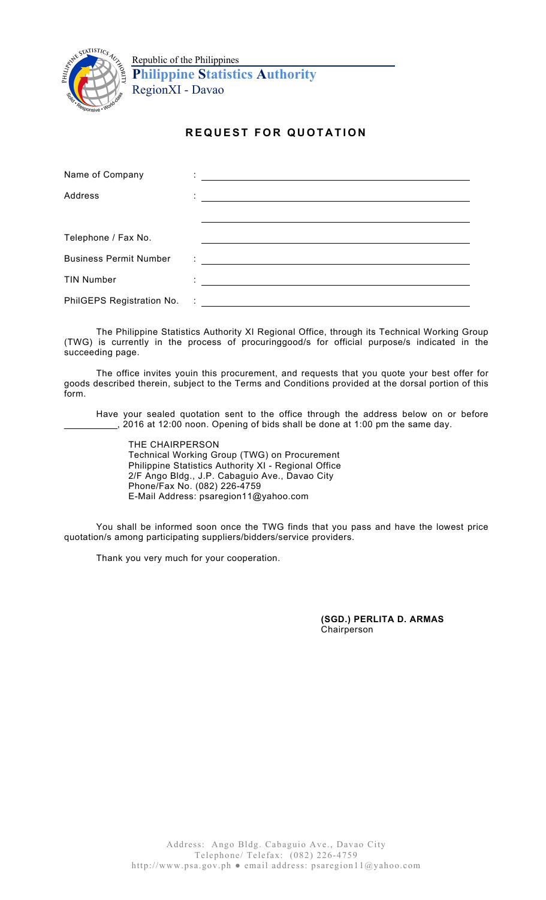

Republic of the Philippines **Philippine Statistics Authority** RegionXI - Davao

## **REQUEST FOR QUOTATION**

| Name of Company               |                                                                                                                                                                                                                                      |
|-------------------------------|--------------------------------------------------------------------------------------------------------------------------------------------------------------------------------------------------------------------------------------|
| Address                       | <u> 1980 - Andrea Andrew Maria (b. 1980)</u>                                                                                                                                                                                         |
|                               |                                                                                                                                                                                                                                      |
| Telephone / Fax No.           |                                                                                                                                                                                                                                      |
|                               |                                                                                                                                                                                                                                      |
| <b>Business Permit Number</b> | <u> 1989 - Johann Stein, fransk politiker (d. 1989)</u>                                                                                                                                                                              |
| <b>TIN Number</b>             | <u> : a construction de la propriété de la propriété de la propriété de la propriété de la propriété de la propriété de la propriété de la propriété de la propriété de la propriété de la propriété de la propriété de la propr</u> |
|                               |                                                                                                                                                                                                                                      |

The Philippine Statistics Authority XI Regional Office, through its Technical Working Group (TWG) is currently in the process of procuringgood/s for official purpose/s indicated in the succeeding page.

The office invites youin this procurement, and requests that you quote your best offer for goods described therein, subject to the Terms and Conditions provided at the dorsal portion of this form.

Have your sealed quotation sent to the office through the address below on or before \_\_\_\_\_\_\_\_\_\_, 2016 at 12:00 noon. Opening of bids shall be done at 1:00 pm the same day.

THE CHAIRPERSON Technical Working Group (TWG) on Procurement Philippine Statistics Authority XI - Regional Office 2/F Ango Bldg., J.P. Cabaguio Ave., Davao City Phone/Fax No. (082) 226-4759 E-Mail Address: psaregion11@yahoo.com

You shall be informed soon once the TWG finds that you pass and have the lowest price quotation/s among participating suppliers/bidders/service providers.

Thank you very much for your cooperation.

**(SGD.) PERLITA D. ARMAS** Chairperson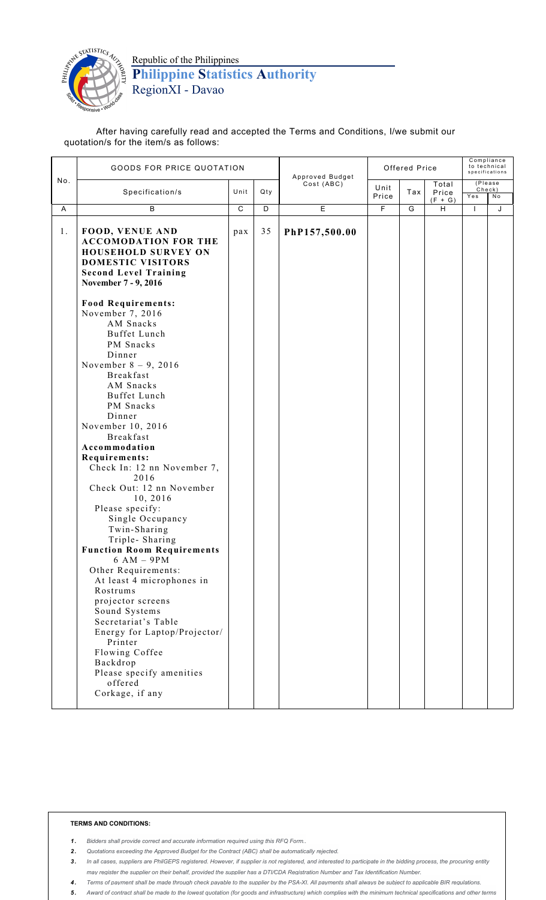

Republic of the Philippines **Philippine Statistics Authority** RegionXI - Davao

After having carefully read and accepted the Terms and Conditions, I/we submit our quotation/s for the item/s as follows:

|     | <b>GOODS FOR PRICE QUOTATION</b>                                                                                                                                                                                                                                                                                                                                                                                                                                                                                                                                                                                                                                                                                                                              |                |                | Approved Budget | Offered Price  |     |                             | Compliance<br>to technical<br>specifications |               |
|-----|---------------------------------------------------------------------------------------------------------------------------------------------------------------------------------------------------------------------------------------------------------------------------------------------------------------------------------------------------------------------------------------------------------------------------------------------------------------------------------------------------------------------------------------------------------------------------------------------------------------------------------------------------------------------------------------------------------------------------------------------------------------|----------------|----------------|-----------------|----------------|-----|-----------------------------|----------------------------------------------|---------------|
| No. | Specification/s                                                                                                                                                                                                                                                                                                                                                                                                                                                                                                                                                                                                                                                                                                                                               | Unit           | Qty            | Cost (ABC)      | Unit<br>Price  | Tax | Total<br>Price<br>$(F + G)$ | Check)<br>Yes                                | (Please<br>No |
| Α   | B                                                                                                                                                                                                                                                                                                                                                                                                                                                                                                                                                                                                                                                                                                                                                             | $\overline{C}$ | $\overline{D}$ | E               | $\overline{F}$ | G   | $\overline{H}$              | $\mathbf{I}$                                 | J             |
| 1.  | <b>FOOD, VENUE AND</b><br><b>ACCOMODATION FOR THE</b><br><b>HOUSEHOLD SURVEY ON</b><br><b>DOMESTIC VISITORS</b><br><b>Second Level Training</b><br>November 7 - 9, 2016                                                                                                                                                                                                                                                                                                                                                                                                                                                                                                                                                                                       | pax            | 35             | PhP157,500.00   |                |     |                             |                                              |               |
|     | <b>Food Requirements:</b><br>November 7, 2016<br>AM Snacks<br>Buffet Lunch<br>PM Snacks<br>Dinner<br>November $8 - 9$ , 2016<br><b>Breakfast</b><br>AM Snacks<br>Buffet Lunch<br>PM Snacks<br>Dinner<br>November 10, 2016<br><b>Breakfast</b><br>Accommodation<br>Requirements:<br>Check In: 12 nn November 7,<br>2016<br>Check Out: 12 nn November<br>10, 2016<br>Please specify:<br>Single Occupancy<br>Twin-Sharing<br>Triple-Sharing<br><b>Function Room Requirements</b><br>$6 AM - 9PM$<br>Other Requirements:<br>At least 4 microphones in<br>Rostrums<br>projector screens<br>Sound Systems<br>Secretariat's Table<br>Energy for Laptop/Projector/<br>Printer<br>Flowing Coffee<br>Backdrop<br>Please specify amenities<br>offered<br>Corkage, if any |                |                |                 |                |     |                             |                                              |               |

## **TERMS AND CONDITIONS:**

- 1. Bidders shall provide correct and accurate information required using this RFQ Form..
- 2. Quotations exceeding the Approved Budget for the Contract (ABC) shall be automatically rejected.
- 3. In all cases, suppliers are PhilGEPS registered. However, if supplier is not registered, and interested to participate in the bidding process, the procuring entity may register the supplier on their behalf, provided the supplier has a DTI/CDA Registration Number and Tax Identification Number.
- 4. Terms of payment shall be made through check payable to the supplier by the PSA-XI. All payments shall always be subject to applicable BIR requlations.
- 5. Award of contract shall be made to the lowest quotation (for goods and infrastructure) which complies with the minimum technical specifications and other terms